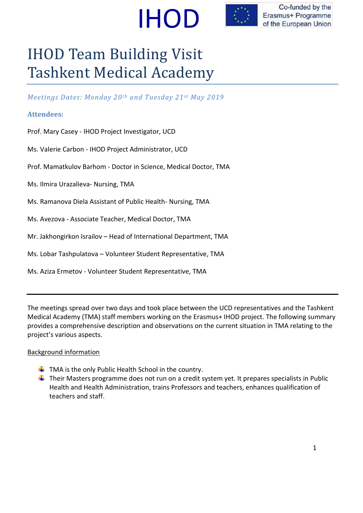



Co-funded by the Erasmus+ Programme of the European Union

# IHOD Team Building Visit Tashkent Medical Academy

*Meetings Dates: Monday 20th and Tuesday 21st May 2019*

#### **Attendees:**

Prof. Mary Casey - IHOD Project Investigator, UCD

Ms. Valerie Carbon - IHOD Project Administrator, UCD

Prof. Mamatkulov Barhom - Doctor in Science, Medical Doctor, TMA

Ms. Ilmira Urazalieva- Nursing, TMA

Ms. Ramanova Diela Assistant of Public Health- Nursing, TMA

Ms. Avezova - Associate Teacher, Medical Doctor, TMA

Mr. Jakhongirkon Israilov – Head of International Department, TMA

Ms. Lobar Tashpulatova – Volunteer Student Representative, TMA

Ms. Aziza Ermetov - Volunteer Student Representative, TMA

The meetings spread over two days and took place between the UCD representatives and the Tashkent Medical Academy (TMA) staff members working on the Erasmus+ IHOD project. The following summary provides a comprehensive description and observations on the current situation in TMA relating to the project's various aspects.

#### Background information

- $\downarrow$  TMA is the only Public Health School in the country.
- $\ddot{+}$  Their Masters programme does not run on a credit system yet. It prepares specialists in Public Health and Health Administration, trains Professors and teachers, enhances qualification of teachers and staff.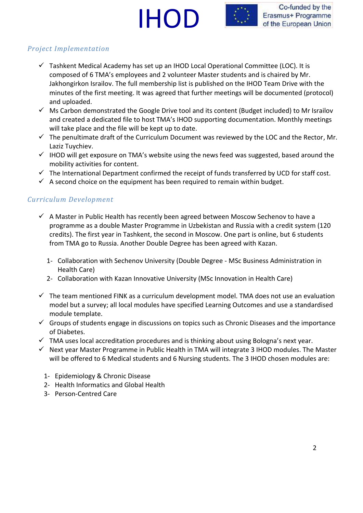



## *Project Implementation*

- $\checkmark$  Tashkent Medical Academy has set up an IHOD Local Operational Committee (LOC). It is composed of 6 TMA's employees and 2 volunteer Master students and is chaired by Mr. Jakhongirkon Israilov. The full membership list is published on the IHOD Team Drive with the minutes of the first meeting. It was agreed that further meetings will be documented (protocol) and uploaded.
- $\checkmark$  Ms Carbon demonstrated the Google Drive tool and its content (Budget included) to Mr Israilov and created a dedicated file to host TMA's IHOD supporting documentation. Monthly meetings will take place and the file will be kept up to date.
- $\checkmark$  The penultimate draft of the Curriculum Document was reviewed by the LOC and the Rector, Mr. Laziz Tuychiev.
- $\checkmark$  IHOD will get exposure on TMA's website using the news feed was suggested, based around the mobility activities for content.
- $\checkmark$  The International Department confirmed the receipt of funds transferred by UCD for staff cost.
- $\checkmark$  A second choice on the equipment has been required to remain within budget.

#### *Curriculum Development*

- $\checkmark$  A Master in Public Health has recently been agreed between Moscow Sechenov to have a programme as a double Master Programme in Uzbekistan and Russia with a credit system (120 credits). The first year in Tashkent, the second in Moscow. One part is online, but 6 students from TMA go to Russia. Another Double Degree has been agreed with Kazan.
	- 1- Collaboration with Sechenov University (Double Degree MSc Business Administration in Health Care)
	- 2- Collaboration with Kazan Innovative University (MSc Innovation in Health Care)
- $\checkmark$  The team mentioned FINK as a curriculum development model. TMA does not use an evaluation model but a survey; all local modules have specified Learning Outcomes and use a standardised module template.
- $\checkmark$  Groups of students engage in discussions on topics such as Chronic Diseases and the importance of Diabetes.
- $\checkmark$  TMA uses local accreditation procedures and is thinking about using Bologna's next year.
- $\checkmark$  Next year Master Programme in Public Health in TMA will integrate 3 IHOD modules. The Master will be offered to 6 Medical students and 6 Nursing students. The 3 IHOD chosen modules are:
	- 1- Epidemiology & Chronic Disease
	- 2- Health Informatics and Global Health
	- 3- Person-Centred Care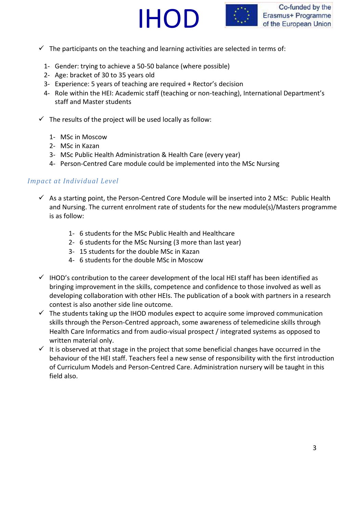



- $\checkmark$  The participants on the teaching and learning activities are selected in terms of:
	- 1- Gender: trying to achieve a 50-50 balance (where possible)
	- 2- Age: bracket of 30 to 35 years old
	- 3- Experience: 5 years of teaching are required + Rector's decision
	- 4- Role within the HEI: Academic staff (teaching or non-teaching), International Department's staff and Master students
- $\checkmark$  The results of the project will be used locally as follow:
	- 1- MSc in Moscow
	- 2- MSc in Kazan
	- 3- MSc Public Health Administration & Health Care (every year)
	- 4- Person-Centred Care module could be implemented into the MSc Nursing

#### *Impact at Individual Level*

- $\checkmark$  As a starting point, the Person-Centred Core Module will be inserted into 2 MSc: Public Health and Nursing. The current enrolment rate of students for the new module(s)/Masters programme is as follow:
	- 1- 6 students for the MSc Public Health and Healthcare
	- 2- 6 students for the MSc Nursing (3 more than last year)
	- 3- 15 students for the double MSc in Kazan
	- 4- 6 students for the double MSc in Moscow
- $\checkmark$  IHOD's contribution to the career development of the local HEI staff has been identified as bringing improvement in the skills, competence and confidence to those involved as well as developing collaboration with other HEIs. The publication of a book with partners in a research contest is also another side line outcome.
- $\checkmark$  The students taking up the IHOD modules expect to acquire some improved communication skills through the Person-Centred approach, some awareness of telemedicine skills through Health Care Informatics and from audio-visual prospect / integrated systems as opposed to written material only.
- $\checkmark$  It is observed at that stage in the project that some beneficial changes have occurred in the behaviour of the HEI staff. Teachers feel a new sense of responsibility with the first introduction of Curriculum Models and Person-Centred Care. Administration nursery will be taught in this field also.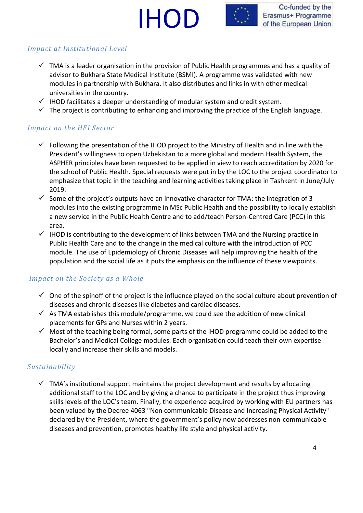# IHOD



# *Impact at Institutional Level*

- $\checkmark$  TMA is a leader organisation in the provision of Public Health programmes and has a quality of advisor to Bukhara State Medical Institute (BSMI). A programme was validated with new modules in partnership with Bukhara. It also distributes and links in with other medical universities in the country.
- $\checkmark$  IHOD facilitates a deeper understanding of modular system and credit system.
- $\checkmark$  The project is contributing to enhancing and improving the practice of the English language.

# *Impact on the HEI Sector*

- $\checkmark$  Following the presentation of the IHOD project to the Ministry of Health and in line with the President's willingness to open Uzbekistan to a more global and modern Health System, the ASPHER principles have been requested to be applied in view to reach accreditation by 2020 for the school of Public Health. Special requests were put in by the LOC to the project coordinator to emphasize that topic in the teaching and learning activities taking place in Tashkent in June/July 2019.
- $\checkmark$  Some of the project's outputs have an innovative character for TMA: the integration of 3 modules into the existing programme in MSc Public Health and the possibility to locally establish a new service in the Public Health Centre and to add/teach Person-Centred Care (PCC) in this area.
- $\checkmark$  IHOD is contributing to the development of links between TMA and the Nursing practice in Public Health Care and to the change in the medical culture with the introduction of PCC module. The use of Epidemiology of Chronic Diseases will help improving the health of the population and the social life as it puts the emphasis on the influence of these viewpoints.

# *Impact on the Society as a Whole*

- $\checkmark$  One of the spinoff of the project is the influence played on the social culture about prevention of diseases and chronic diseases like diabetes and cardiac diseases.
- $\checkmark$  As TMA establishes this module/programme, we could see the addition of new clinical placements for GPs and Nurses within 2 years.
- $\checkmark$  Most of the teaching being formal, some parts of the IHOD programme could be added to the Bachelor's and Medical College modules. Each organisation could teach their own expertise locally and increase their skills and models.

# *Sustainability*

 $\checkmark$  TMA's institutional support maintains the project development and results by allocating additional staff to the LOC and by giving a chance to participate in the project thus improving skills levels of the LOC's team. Finally, the experience acquired by working with EU partners has been valued by the Decree 4063 "Non communicable Disease and Increasing Physical Activity" declared by the President, where the government's policy now addresses non-communicable diseases and prevention, promotes healthy life style and physical activity.